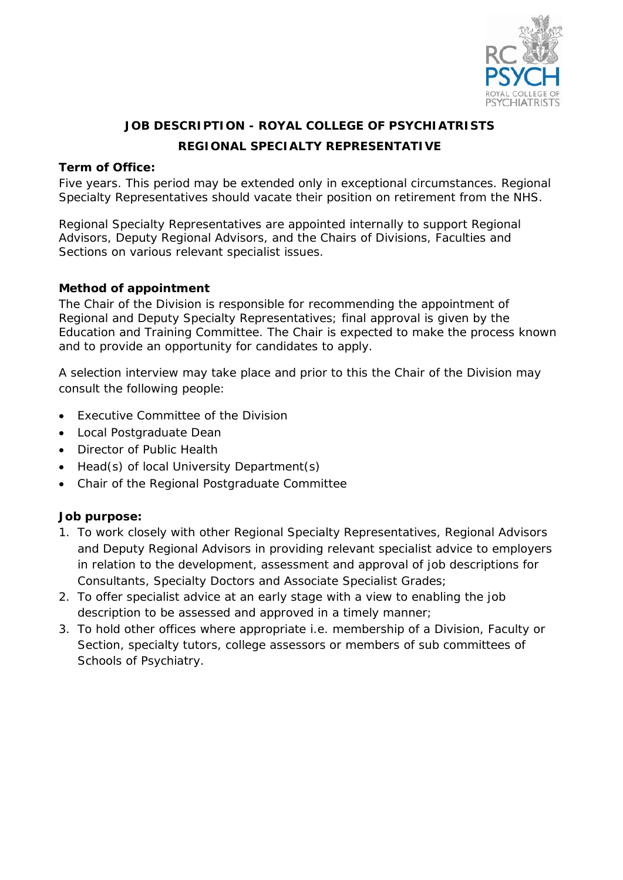

# **JOB DESCRIPTION - ROYAL COLLEGE OF PSYCHIATRISTS REGIONAL SPECIALTY REPRESENTATIVE**

#### **Term of Office:**

Five years. This period may be extended only in exceptional circumstances. Regional Specialty Representatives should vacate their position on retirement from the NHS.

Regional Specialty Representatives are appointed internally to support Regional Advisors, Deputy Regional Advisors, and the Chairs of Divisions, Faculties and Sections on various relevant specialist issues.

#### **Method of appointment**

The Chair of the Division is responsible for recommending the appointment of Regional and Deputy Specialty Representatives; final approval is given by the Education and Training Committee. The Chair is expected to make the process known and to provide an opportunity for candidates to apply.

A selection interview may take place and prior to this the Chair of the Division may consult the following people:

- Executive Committee of the Division
- Local Postgraduate Dean
- Director of Public Health
- Head(s) of local University Department(s)
- Chair of the Regional Postgraduate Committee

#### **Job purpose:**

- 1. To work closely with other Regional Specialty Representatives, Regional Advisors and Deputy Regional Advisors in providing relevant specialist advice to employers in relation to the development, assessment and approval of job descriptions for Consultants, Specialty Doctors and Associate Specialist Grades;
- 2. To offer specialist advice at an early stage with a view to enabling the job description to be assessed and approved in a timely manner;
- 3. To hold other offices where appropriate i.e. membership of a Division, Faculty or Section, specialty tutors, college assessors or members of sub committees of Schools of Psychiatry.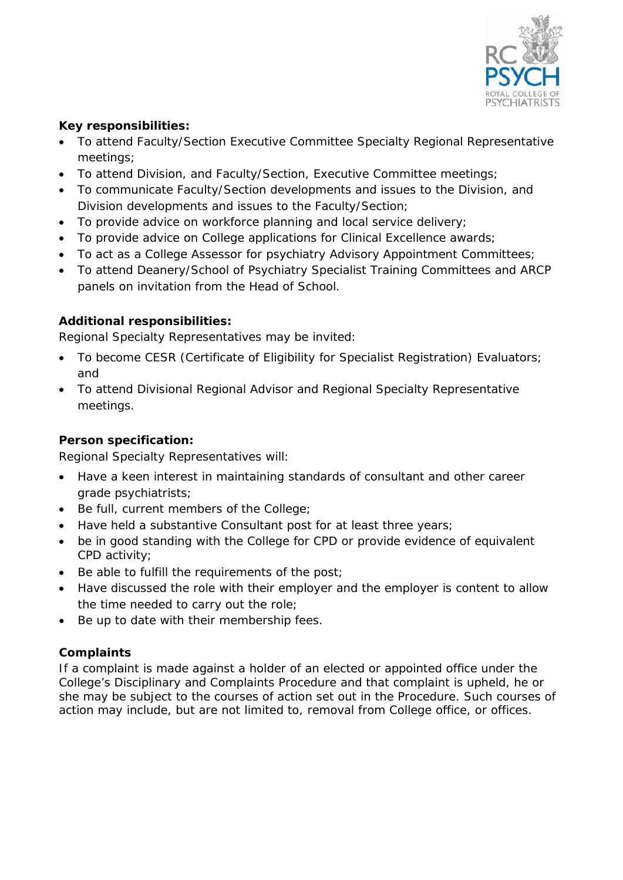

## **Key responsibilities:**

- To attend Faculty/Section Executive Committee Specialty Regional Representative meetings;
- To attend Division, and Faculty/Section, Executive Committee meetings;
- To communicate Faculty/Section developments and issues to the Division, and Division developments and issues to the Faculty/Section;
- To provide advice on workforce planning and local service delivery;
- To provide advice on College applications for Clinical Excellence awards;
- To act as a College Assessor for psychiatry Advisory Appointment Committees;
- To attend Deanery/School of Psychiatry Specialist Training Committees and ARCP panels on invitation from the Head of School.

# **Additional responsibilities:**

Regional Specialty Representatives may be invited:

- To become CESR (Certificate of Eligibility for Specialist Registration) Evaluators; and
- To attend Divisional Regional Advisor and Regional Specialty Representative meetings.

## **Person specification:**

Regional Specialty Representatives will:

- Have a keen interest in maintaining standards of consultant and other career grade psychiatrists;
- Be full, current members of the College;
- Have held a substantive Consultant post for at least three years;
- be in good standing with the College for CPD or provide evidence of equivalent CPD activity;
- Be able to fulfill the requirements of the post;
- Have discussed the role with their employer and the employer is content to allow the time needed to carry out the role;
- Be up to date with their membership fees.

# **Complaints**

If a complaint is made against a holder of an elected or appointed office under the College's Disciplinary and Complaints Procedure and that complaint is upheld, he or she may be subject to the courses of action set out in the Procedure. Such courses of action may include, but are not limited to, removal from College office, or offices.